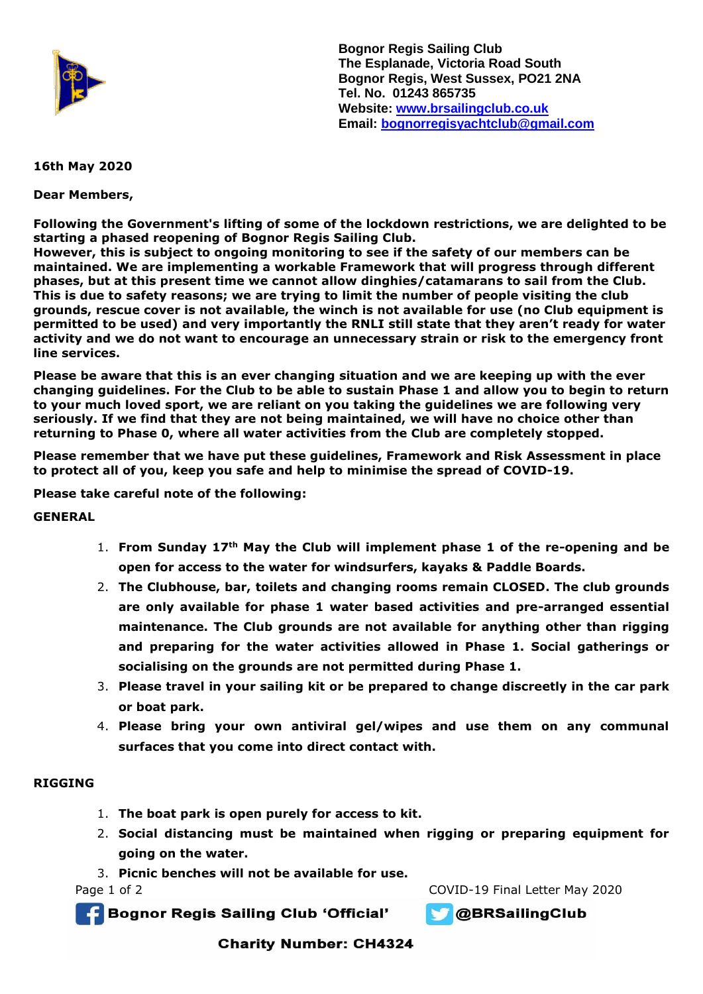

**Bognor Regis Sailing Club The Esplanade, Victoria Road South Bognor Regis, West Sussex, PO21 2NA Tel. No. 01243 865735 Website: [www.brsailingclub.co.uk](http://www.brsailingclub.co.uk/) Email: [bognorregisyachtclub@gmail.com](mailto:bognorregisyachtclub@gmail.com)**

## **16th May 2020**

**Dear Members,**

**Following the Government's lifting of some of the lockdown restrictions, we are delighted to be starting a phased reopening of Bognor Regis Sailing Club.** 

**However, this is subject to ongoing monitoring to see if the safety of our members can be maintained. We are implementing a workable Framework that will progress through different phases, but at this present time we cannot allow dinghies/catamarans to sail from the Club. This is due to safety reasons; we are trying to limit the number of people visiting the club grounds, rescue cover is not available, the winch is not available for use (no Club equipment is permitted to be used) and very importantly the RNLI still state that they aren't ready for water activity and we do not want to encourage an unnecessary strain or risk to the emergency front line services.**

**Please be aware that this is an ever changing situation and we are keeping up with the ever changing guidelines. For the Club to be able to sustain Phase 1 and allow you to begin to return to your much loved sport, we are reliant on you taking the guidelines we are following very seriously. If we find that they are not being maintained, we will have no choice other than returning to Phase 0, where all water activities from the Club are completely stopped.** 

**Please remember that we have put these guidelines, Framework and Risk Assessment in place to protect all of you, keep you safe and help to minimise the spread of COVID-19.**

**Please take careful note of the following:** 

**GENERAL**

- 1. **From Sunday 17th May the Club will implement phase 1 of the re-opening and be open for access to the water for windsurfers, kayaks & Paddle Boards.**
- 2. **The Clubhouse, bar, toilets and changing rooms remain CLOSED. The club grounds are only available for phase 1 water based activities and pre-arranged essential maintenance. The Club grounds are not available for anything other than rigging and preparing for the water activities allowed in Phase 1. Social gatherings or socialising on the grounds are not permitted during Phase 1.**
- 3. **Please travel in your sailing kit or be prepared to change discreetly in the car park or boat park.**
- 4. **Please bring your own antiviral gel/wipes and use them on any communal surfaces that you come into direct contact with.**

### **RIGGING**

- 1. **The boat park is open purely for access to kit.**
- 2. **Social distancing must be maintained when rigging or preparing equipment for going on the water.**
- 3. **Picnic benches will not be available for use.**

Page 1 of 2 COVID-19 Final Letter May 2020

**Bognor Regis Sailing Club 'Official'** 



**OBRSailingClub** 

**Charity Number: CH4324**